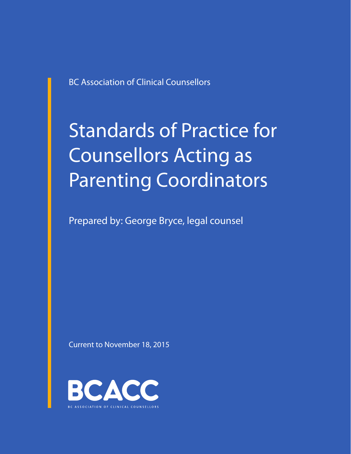BC Association of Clinical Counsellors

# Standards of Practice for Counsellors Acting as Parenting Coordinators

Prepared by: George Bryce, legal counsel

Current to November 18, 2015

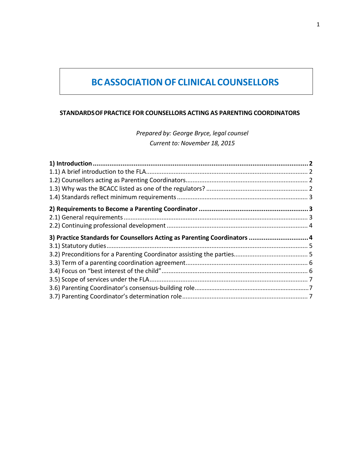# **BCASSOCIATIONOF CLINICAL COUNSELLORS**

#### **STANDARDSOFPRACTICE FOR COUNSELLORS ACTING AS PARENTING COORDINATORS**

*Prepared by: George Bryce, legal counsel Current to: November 18, 2015*

| 3) Practice Standards for Counsellors Acting as Parenting Coordinators  4 |  |
|---------------------------------------------------------------------------|--|
|                                                                           |  |
|                                                                           |  |
|                                                                           |  |
|                                                                           |  |
|                                                                           |  |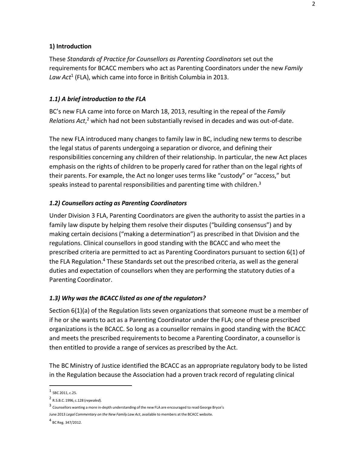#### <span id="page-2-0"></span>**1) Introduction**

These *Standards of Practice for Counsellors as Parenting Coordinators* set out the requirementsfor BCACC members who act as Parenting Coordinators under the new *Family Law Act*<sup>1</sup> (FLA), which came into force in British Columbia in 2013.

#### <span id="page-2-1"></span>*1.1) A brief introduction to the FLA*

BC's new FLA came into force on March 18, 2013, resulting in the repeal of the *Family Relations Act*, <sup>2</sup> which had not been substantially revised in decades and was out-of-date.

The new FLA introduced many changes to family law in BC, including new terms to describe the legal status of parents undergoing a separation or divorce, and defining their responsibilities concerning any children of their relationship. In particular, the new Act places emphasis on the rights of children to be properly cared for rather than on the legal rights of their parents. For example, the Act no longer uses terms like "custody" or "access," but speaks instead to parental responsibilities and parenting time with children. $3$ 

#### <span id="page-2-2"></span>*1.2) Counsellors acting as Parenting Coordinators*

Under Division 3 FLA, Parenting Coordinators are given the authority to assist the parties in a family law dispute by helping them resolve their disputes ("building consensus") and by making certain decisions ("making a determination") as prescribed in that Division and the regulations. Clinical counsellors in good standing with the BCACC and who meet the prescribed criteria are permitted to act as Parenting Coordinators pursuant to section 6(1) of the FLA Regulation.<sup>4</sup> These Standards set out the prescribed criteria, as well as the general duties and expectation of counsellors when they are performing the statutory duties of a Parenting Coordinator.

#### <span id="page-2-3"></span>*1.3) Why wasthe BCACC listed as one of the regulators?*

Section 6(1)(a) of the Regulation lists seven organizations that someone must be a member of if he or she wants to act as a Parenting Coordinator under the FLA; one of these prescribed organizations is the BCACC. So long as a counsellor remains in good standing with the BCACC and meets the prescribed requirements to become a Parenting Coordinator, a counsellor is then entitled to provide a range of services as prescribed by the Act.

The BC Ministry of Justice identified the BCACC as an appropriate regulatory body to be listed in the Regulation because the Association had a proven track record of regulating clinical

 $1$  SBC 2011, c.25.

<sup>2</sup> R.S.B.C. 1996, c.128 (*repealed*).

<sup>3</sup> Counsellors wanting <sup>a</sup> more in-depth understanding of the new FLA are encouraged to read George Bryce's

June 2013 *Legal Commentary on the New Family Law Act*, available to members at the BCACC website.

<sup>4</sup> BC Reg. 347/2012.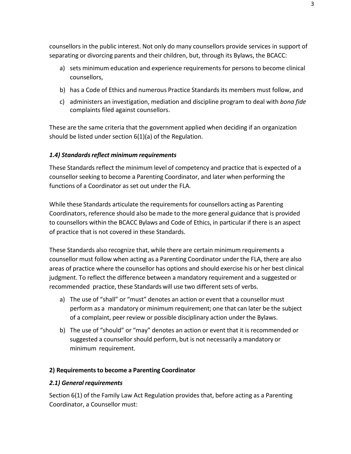counsellors in the public interest. Not only do many counsellors provide services in support of separating or divorcing parents and their children, but, through its Bylaws, the BCACC:

- a) sets minimum education and experience requirements for persons to become clinical counsellors,
- b) has a Code of Ethics and numerous Practice Standards its members must follow, and
- c) administers an investigation, mediation and discipline program to deal with *bona fide*  complaints filed against counsellors.

These are the same criteria that the government applied when deciding if an organization should be listed under section 6(1)(a) of the Regulation.

# <span id="page-3-0"></span>*1.4) Standardsreflect minimum requirements*

These Standards reflect the minimum level of competency and practice that is expected of a counsellor seeking to become a Parenting Coordinator, and later when performing the functions of a Coordinator as set out under the FLA.

While these Standards articulate the requirements for counsellors acting as Parenting Coordinators, reference should also be made to the more general guidance that is provided to counsellors within the BCACC Bylaws and Code of Ethics, in particular if there is an aspect of practice that is not covered in these Standards.

These Standards also recognize that, while there are certain minimum requirements a counsellor must follow when acting as a Parenting Coordinator under the FLA, there are also areas of practice where the counsellor has options and should exercise his or her best clinical judgment. To reflect the difference between a mandatory requirement and a suggested or recommended practice, these Standards will use two different sets of verbs.

- a) The use of "shall" or "must" denotes an action or event that a counsellor must perform as a mandatory or minimum requirement; one that can later be the subject of a complaint, peer review or possible disciplinary action under the Bylaws.
- b) The use of "should" or "may" denotes an action or event that it is recommended or suggested a counsellor should perform, but is not necessarily a mandatory or minimum requirement.

# <span id="page-3-1"></span>**2) Requirementsto become a Parenting Coordinator**

# <span id="page-3-2"></span>*2.1) General requirements*

Section 6(1) of the Family Law Act Regulation provides that, before acting as a Parenting Coordinator, a Counsellor must: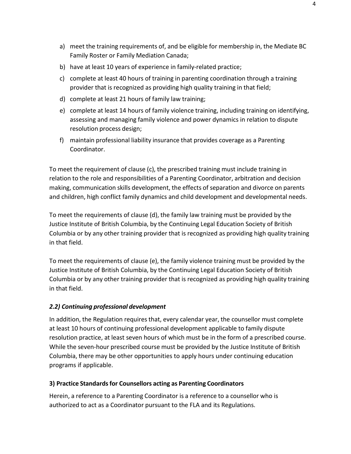- a) meet the training requirements of, and be eligible for membership in, the Mediate BC Family Roster or Family Mediation Canada;
- b) have at least 10 years of experience in family-related practice;
- c) complete at least 40 hours of training in parenting coordination through a training provider that is recognized as providing high quality training in that field;
- d) complete at least 21 hours of family law training;
- e) complete at least 14 hours of family violence training, including training on identifying, assessing and managing family violence and power dynamics in relation to dispute resolution process design;
- f) maintain professional liability insurance that provides coverage as a Parenting Coordinator.

To meet the requirement of clause (c), the prescribed training must include training in relation to the role and responsibilities of a Parenting Coordinator, arbitration and decision making, communication skills development, the effects of separation and divorce on parents and children, high conflict family dynamics and child development and developmental needs.

To meet the requirements of clause (d), the family law training must be provided by the Justice Institute of British Columbia, by the Continuing Legal Education Society of British Columbia or by any other training provider that is recognized as providing high quality training in that field.

To meet the requirements of clause (e), the family violence training must be provided by the Justice Institute of British Columbia, by the Continuing Legal Education Society of British Columbia or by any other training provider that is recognized as providing high quality training in that field.

# <span id="page-4-0"></span>*2.2) Continuing professional development*

In addition, the Regulation requires that, every calendar year, the counsellor must complete at least 10 hours of continuing professional development applicable to family dispute resolution practice, at least seven hours of which must be in the form of a prescribed course. While the seven-hour prescribed course must be provided by the Justice Institute of British Columbia, there may be other opportunities to apply hours under continuing education programs if applicable.

#### <span id="page-4-1"></span>**3) Practice Standardsfor Counsellors acting as Parenting Coordinators**

Herein, a reference to a Parenting Coordinator is a reference to a counsellor who is authorized to act as a Coordinator pursuant to the FLA and its Regulations.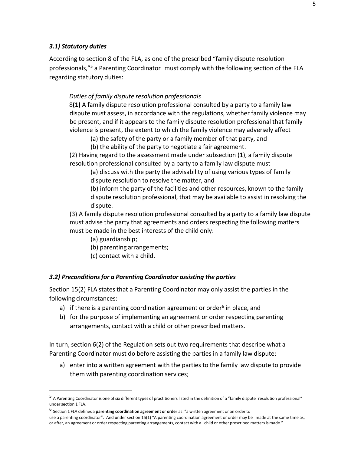#### <span id="page-5-0"></span>*3.1) Statutory duties*

According to section 8 of the FLA, as one of the prescribed "family dispute resolution professionals,"<sup>5</sup> a Parenting Coordinator must comply with the following section of the FLA regarding statutory duties:

#### *Duties of family dispute resolution professionals*

8**(1)** A family dispute resolution professional consulted by a party to a family law dispute must assess, in accordance with the regulations, whether family violence may be present, and if it appears to the family dispute resolution professional that family violence is present, the extent to which the family violence may adversely affect

- (a) the safety of the party or a family member of that party, and
- (b) the ability of the party to negotiate a fair agreement.

(2) Having regard to the assessment made under subsection (1), a family dispute resolution professional consulted by a party to a family law dispute must

(a) discuss with the party the advisability of using various types of family dispute resolution to resolve the matter, and

(b) inform the party of the facilities and other resources, known to the family dispute resolution professional, that may be available to assist in resolving the dispute.

(3) A family dispute resolution professional consulted by a party to a family law dispute must advise the party that agreements and orders respecting the following matters must be made in the best interests of the child only:

- (a) guardianship;
- (b) parenting arrangements;
- (c) contact with a child.

#### <span id="page-5-1"></span>*3.2) Preconditionsfor a Parenting Coordinator assisting the parties*

Section 15(2) FLA states that a Parenting Coordinator may only assist the parties in the following circumstances:

- a) if there is a parenting coordination agreement or order<sup>6</sup> in place, and
- b) for the purpose of implementing an agreement or order respecting parenting arrangements, contact with a child or other prescribed matters.

In turn, section 6(2) of the Regulation sets out two requirements that describe what a Parenting Coordinator must do before assisting the parties in a family law dispute:

a) enter into a written agreement with the parties to the family law dispute to provide them with parenting coordination services;

<sup>5</sup> <sup>A</sup> Parenting Coordinator is one ofsix different types of practitionerslisted in the definition of <sup>a</sup> "family dispute resolution professional" under section 1 FLA.

<sup>6</sup> Section <sup>1</sup> FLA defines <sup>a</sup> **parenting coordination agreement or order** as: "a written agreement or an order to

use a parenting coordinator". And under section 15(1) "A parenting coordination agreement or order may be made at the same time as, or after, an agreement or order respecting parenting arrangements, contact with a child or other prescribed mattersis made."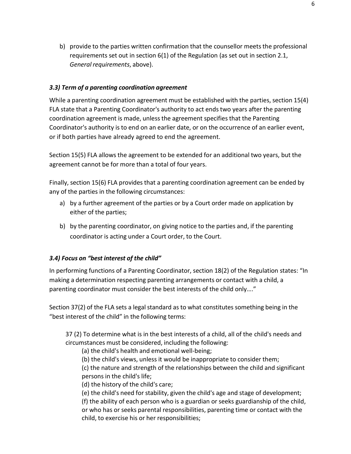b) provide to the parties written confirmation that the counsellor meets the professional requirements set out in section 6(1) of the Regulation (as set out in section 2.1, *General requirements*, above).

#### <span id="page-6-0"></span>*3.3) Term of a parenting coordination agreement*

While a parenting coordination agreement must be established with the parties, section 15(4) FLA state that a Parenting Coordinator's authority to act ends two years after the parenting coordination agreement is made, unless the agreement specifies that the Parenting Coordinator's authority is to end on an earlier date, or on the occurrence of an earlier event, or if both parties have already agreed to end the agreement.

Section 15(5) FLA allows the agreement to be extended for an additional two years, but the agreement cannot be for more than a total of four years.

Finally, section 15(6) FLA provides that a parenting coordination agreement can be ended by any of the parties in the following circumstances:

- a) by a further agreement of the parties or by a Court order made on application by either of the parties;
- b) by the parenting coordinator, on giving notice to the parties and, if the parenting coordinator is acting under a Court order, to the Court.

#### <span id="page-6-1"></span>*3.4) Focus on "best interest of the child"*

In performing functions of a Parenting Coordinator, section 18(2) of the Regulation states: "In making a determination respecting parenting arrangements or contact with a child, a parenting coordinator must consider the best interests of the child only…."

Section 37(2) of the FLA sets a legal standard as to what constitutes something being in the "best interest of the child" in the following terms:

37 (2) To determine what is in the best interests of a child, all of the child's needs and circumstances must be considered, including the following:

(a) the child's health and emotional well-being;

(b) the child's views, unless it would be inappropriate to consider them;

(c) the nature and strength of the relationships between the child and significant persons in the child's life;

(d) the history of the child's care;

(e) the child's need for stability, given the child's age and stage of development; (f) the ability of each person who is a guardian or seeks guardianship of the child, or who has or seeks parental responsibilities, parenting time or contact with the child, to exercise his or her responsibilities;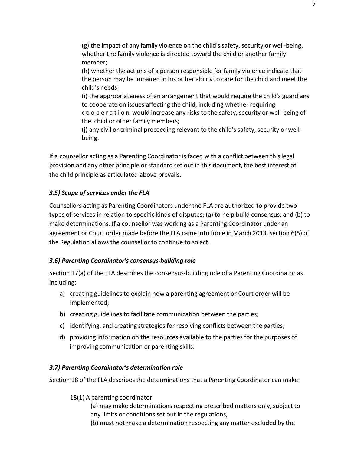(g) the impact of any family violence on the child's safety, security or well-being, whether the family violence is directed toward the child or another family member;

(h) whether the actions of a person responsible for family violence indicate that the person may be impaired in his or her ability to care for the child and meet the child's needs;

(i) the appropriateness of an arrangement that would require the child's guardians to cooperate on issues affecting the child, including whether requiring cooperation would increase any risks to the safety, security or well-being of the child or other family members;

(j) any civil or criminal proceeding relevant to the child's safety, security or wellbeing.

If a counsellor acting as a Parenting Coordinator is faced with a conflict between thislegal provision and any other principle or standard set out in this document, the best interest of the child principle as articulated above prevails.

# <span id="page-7-0"></span>*3.5) Scope of services under the FLA*

Counsellors acting as Parenting Coordinators under the FLA are authorized to provide two types of services in relation to specific kinds of disputes: (a) to help build consensus, and (b) to make determinations. If a counsellor was working as a Parenting Coordinator under an agreement or Court order made before the FLA came into force in March 2013, section 6(5) of the Regulation allows the counsellor to continue to so act.

# <span id="page-7-1"></span>*3.6) Parenting Coordinator's consensus-building role*

Section 17(a) of the FLA describes the consensus-building role of a Parenting Coordinator as including:

- a) creating guidelines to explain how a parenting agreement or Court order will be implemented;
- b) creating guidelines to facilitate communication between the parties;
- c) identifying, and creating strategies for resolving conflicts between the parties;
- d) providing information on the resources available to the parties for the purposes of improving communication or parenting skills.

# <span id="page-7-2"></span>*3.7) Parenting Coordinator's determination role*

Section 18 of the FLA describes the determinations that a Parenting Coordinator can make:

18(1) A parenting coordinator

(a) may make determinations respecting prescribed matters only, subject to any limits or conditions set out in the regulations,

(b) must not make a determination respecting any matter excluded by the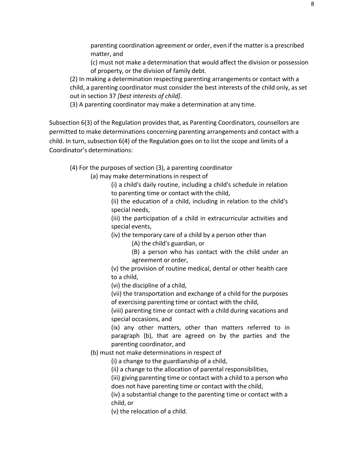parenting coordination agreement or order, even if the matter is a prescribed matter, and

(c) must not make a determination that would affect the division or possession of property, or the division of family debt.

(2) In making a determination respecting parenting arrangements or contact with a child, a parenting coordinator must consider the best interests of the child only, as set out in section 37 *[best interests of child]*.

(3) A parenting coordinator may make a determination at any time.

Subsection 6(3) of the Regulation provides that, as Parenting Coordinators, counsellors are permitted to make determinations concerning parenting arrangements and contact with a child. In turn, subsection 6(4) of the Regulation goes on to list the scope and limits of a Coordinator's determinations:

(4) For the purposes of section (3), a parenting coordinator

(a) may make determinations in respect of

(i) a child's daily routine, including a child's schedule in relation to parenting time or contact with the child,

(ii) the education of a child, including in relation to the child's special needs,

(iii) the participation of a child in extracurricular activities and special events,

(iv) the temporary care of a child by a person other than

(A) the child's guardian, or

(B) a person who has contact with the child under an agreement or order,

(v) the provision of routine medical, dental or other health care to a child,

(vi) the discipline of a child,

(vii) the transportation and exchange of a child for the purposes of exercising parenting time or contact with the child,

(viii) parenting time or contact with a child during vacations and special occasions, and

(ix) any other matters, other than matters referred to in paragraph (b), that are agreed on by the parties and the parenting coordinator, and

(b) must not make determinations in respect of

(i) a change to the guardianship of a child,

(ii) a change to the allocation of parental responsibilities,

(iii) giving parenting time or contact with a child to a person who does not have parenting time or contact with the child,

(iv) a substantial change to the parenting time or contact with a child, or

(v) the relocation of a child.